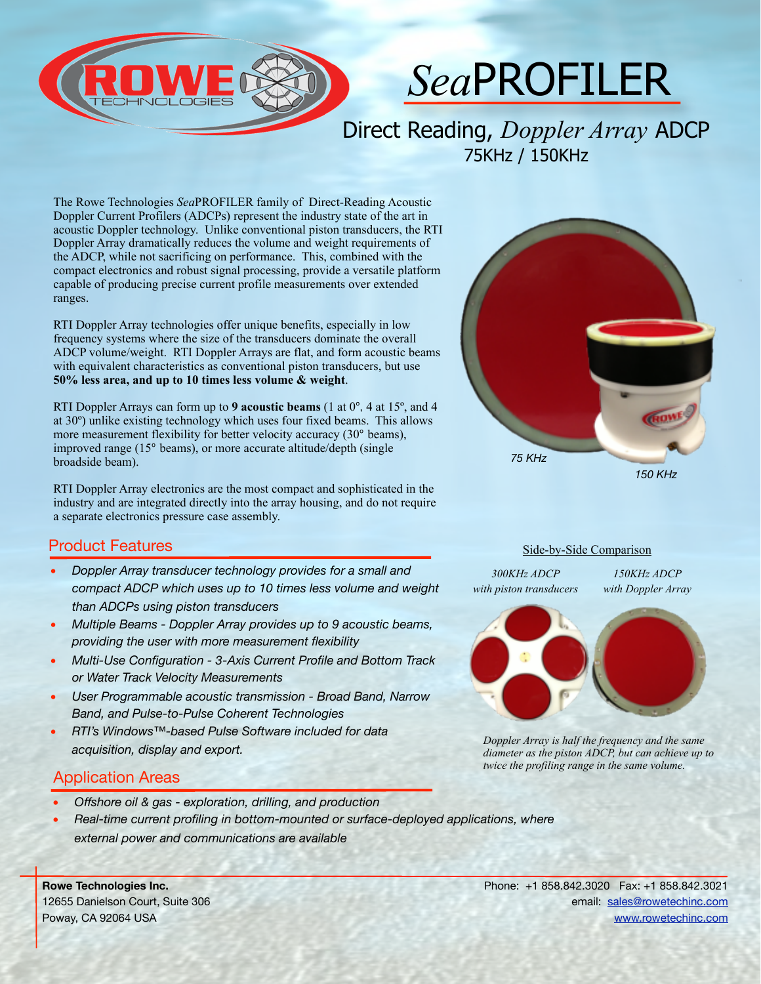

# *Sea*PROFILER

Direct Reading, *Doppler Array* ADCP 75KHz / 150KHz

The Rowe Technologies *Sea*PROFILER family of Direct-Reading Acoustic Doppler Current Profilers (ADCPs) represent the industry state of the art in acoustic Doppler technology. Unlike conventional piston transducers, the RTI Doppler Array dramatically reduces the volume and weight requirements of the ADCP, while not sacrificing on performance. This, combined with the compact electronics and robust signal processing, provide a versatile platform capable of producing precise current profile measurements over extended ranges.

RTI Doppler Array technologies offer unique benefits, especially in low frequency systems where the size of the transducers dominate the overall ADCP volume/weight. RTI Doppler Arrays are flat, and form acoustic beams with equivalent characteristics as conventional piston transducers, but use **50% less area, and up to 10 times less volume & weight**.

RTI Doppler Arrays can form up to **9 acoustic beams** (1 at 0º, 4 at 15º, and 4 at 30º) unlike existing technology which uses four fixed beams. This allows more measurement flexibility for better velocity accuracy (30<sup>°</sup> beams), improved range (15º beams), or more accurate altitude/depth (single broadside beam).

RTI Doppler Array electronics are the most compact and sophisticated in the industry and are integrated directly into the array housing, and do not require a separate electronics pressure case assembly.

#### Product Features

- *Doppler Array transducer technology provides for a small and compact ADCP which uses up to 10 times less volume and weight than ADCPs using piston transducers*
- *Multiple Beams Doppler Array provides up to 9 acoustic beams, providing the user with more measurement flexibility*
- *Multi-Use Configuration 3-Axis Current Profile and Bottom Track or Water Track Velocity Measurements*
- *User Programmable acoustic transmission Broad Band, Narrow Band, and Pulse-to-Pulse Coherent Technologies*
- *RTI's Windows™-based Pulse Software included for data acquisition, display and export.*

### Application Areas

- *Offshore oil & gas exploration, drilling, and production*
- *Real-time current profiling in bottom-mounted or surface-deployed applications, where external power and communications are available*

**Rowe Technologies Inc.** 12655 Danielson Court, Suite 306 Poway, CA 92064 USA



#### Side-by-Side Comparison

*300KHz ADCP with piston transducers*

*150KHz ADCP with Doppler Array*



*Doppler Array is half the frequency and the same diameter as the piston ADCP, but can achieve up to twice the profiling range in the same volume.*

Phone: +1 858.842.3020 Fax: +1 858.842.3021 email: [sales@rowetechinc.com](mailto:sales@rowetechinc.com) [www.rowetechinc.com](http://www.rowetechinc.com)